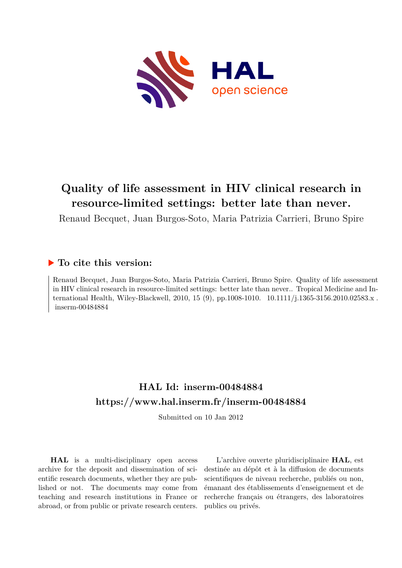

# **Quality of life assessment in HIV clinical research in resource-limited settings: better late than never.**

Renaud Becquet, Juan Burgos-Soto, Maria Patrizia Carrieri, Bruno Spire

# **To cite this version:**

Renaud Becquet, Juan Burgos-Soto, Maria Patrizia Carrieri, Bruno Spire. Quality of life assessment in HIV clinical research in resource-limited settings: better late than never.. Tropical Medicine and International Health, Wiley-Blackwell, 2010, 15 (9), pp.1008-1010. 10.1111/j.1365-3156.2010.02583.x. inserm-00484884

# **HAL Id: inserm-00484884 <https://www.hal.inserm.fr/inserm-00484884>**

Submitted on 10 Jan 2012

**HAL** is a multi-disciplinary open access archive for the deposit and dissemination of scientific research documents, whether they are published or not. The documents may come from teaching and research institutions in France or abroad, or from public or private research centers.

L'archive ouverte pluridisciplinaire **HAL**, est destinée au dépôt et à la diffusion de documents scientifiques de niveau recherche, publiés ou non, émanant des établissements d'enseignement et de recherche français ou étrangers, des laboratoires publics ou privés.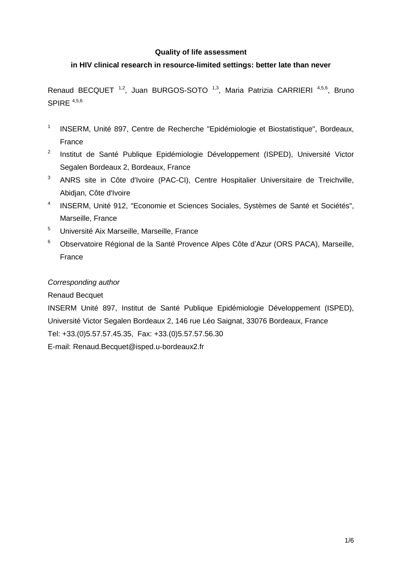#### **Quality of life assessment**

## **in HIV clinical research in resource-limited settings: better late than never**

Renaud BECQUET<sup>1,2</sup>, Juan BURGOS-SOTO<sup>1,3</sup>, Maria Patrizia CARRIERI<sup>4,5,6</sup>, Bruno SPIRE  $4,5,6$ 

- 1 INSERM, Unité 897, Centre de Recherche "Epidémiologie et Biostatistique", Bordeaux, France
- <sup>2</sup> Institut de Santé Publique Epidémiologie Développement (ISPED), Université Victor Segalen Bordeaux 2, Bordeaux, France
- <sup>3</sup> ANRS site in Côte d'Ivoire (PAC-CI), Centre Hospitalier Universitaire de Treichville, Abidjan, Côte d'Ivoire
- 4 INSERM, Unité 912, "Economie et Sciences Sociales, Systèmes de Santé et Sociétés", Marseille, France
- <sup>5</sup> Université Aix Marseille, Marseille, France
- <sup>6</sup> Observatoire Régional de la Santé Provence Alpes Côte d'Azur (ORS PACA), Marseille, France

#### *Corresponding author*

Renaud Becquet

INSERM Unité 897, Institut de Santé Publique Epidémiologie Développement (ISPED), Université Victor Segalen Bordeaux 2, 146 rue Léo Saignat, 33076 Bordeaux, France Tel: +33.(0)5.57.57.45.35, Fax: +33.(0)5.57.57.56.30 E-mail: Renaud.Becquet@isped.u-bordeaux2.fr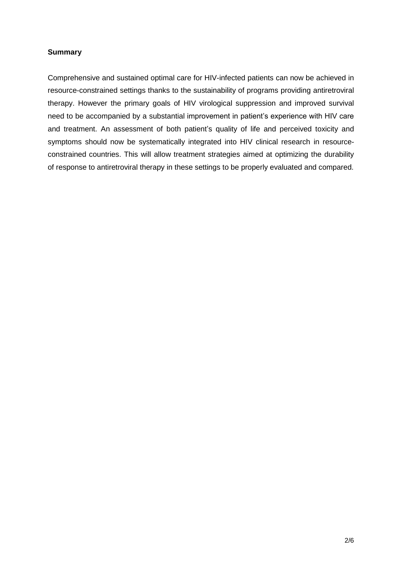#### **Summary**

Comprehensive and sustained optimal care for HIV-infected patients can now be achieved in resource-constrained settings thanks to the sustainability of programs providing antiretroviral therapy. However the primary goals of HIV virological suppression and improved survival need to be accompanied by a substantial improvement in patient's experience with HIV care and treatment. An assessment of both patient's quality of life and perceived toxicity and symptoms should now be systematically integrated into HIV clinical research in resourceconstrained countries. This will allow treatment strategies aimed at optimizing the durability of response to antiretroviral therapy in these settings to be properly evaluated and compared.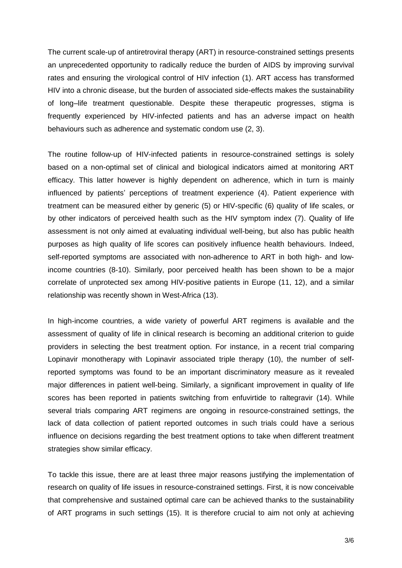The current scale-up of antiretroviral therapy (ART) in resource-constrained settings presents an unprecedented opportunity to radically reduce the burden of AIDS by improving survival rates and ensuring the virological control of HIV infection (1). ART access has transformed HIV into a chronic disease, but the burden of associated side-effects makes the sustainability of long–life treatment questionable. Despite these therapeutic progresses, stigma is frequently experienced by HIV-infected patients and has an adverse impact on health behaviours such as adherence and systematic condom use (2, 3).

The routine follow-up of HIV-infected patients in resource-constrained settings is solely based on a non-optimal set of clinical and biological indicators aimed at monitoring ART efficacy. This latter however is highly dependent on adherence, which in turn is mainly influenced by patients' perceptions of treatment experience (4). Patient experience with treatment can be measured either by generic (5) or HIV-specific (6) quality of life scales, or by other indicators of perceived health such as the HIV symptom index (7). Quality of life assessment is not only aimed at evaluating individual well-being, but also has public health purposes as high quality of life scores can positively influence health behaviours. Indeed, self-reported symptoms are associated with non-adherence to ART in both high- and lowincome countries (8-10). Similarly, poor perceived health has been shown to be a major correlate of unprotected sex among HIV-positive patients in Europe (11, 12), and a similar relationship was recently shown in West-Africa (13).

In high-income countries, a wide variety of powerful ART regimens is available and the assessment of quality of life in clinical research is becoming an additional criterion to guide providers in selecting the best treatment option. For instance, in a recent trial comparing Lopinavir monotherapy with Lopinavir associated triple therapy (10), the number of selfreported symptoms was found to be an important discriminatory measure as it revealed major differences in patient well-being. Similarly, a significant improvement in quality of life scores has been reported in patients switching from enfuvirtide to raltegravir (14). While several trials comparing ART regimens are ongoing in resource-constrained settings, the lack of data collection of patient reported outcomes in such trials could have a serious influence on decisions regarding the best treatment options to take when different treatment strategies show similar efficacy.

To tackle this issue, there are at least three major reasons justifying the implementation of research on quality of life issues in resource-constrained settings. First, it is now conceivable that comprehensive and sustained optimal care can be achieved thanks to the sustainability of ART programs in such settings (15). It is therefore crucial to aim not only at achieving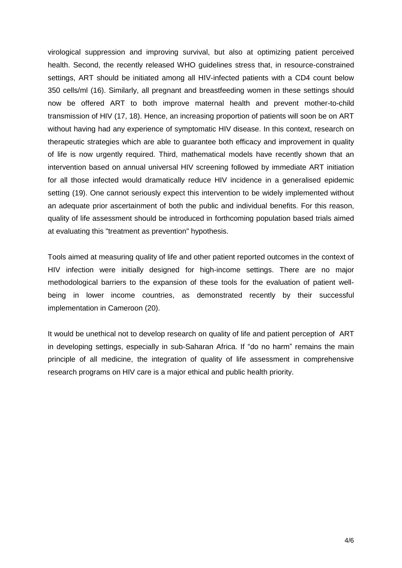virological suppression and improving survival, but also at optimizing patient perceived health. Second, the recently released WHO guidelines stress that, in resource-constrained settings, ART should be initiated among all HIV-infected patients with a CD4 count below 350 cells/ml (16). Similarly, all pregnant and breastfeeding women in these settings should now be offered ART to both improve maternal health and prevent mother-to-child transmission of HIV (17, 18). Hence, an increasing proportion of patients will soon be on ART without having had any experience of symptomatic HIV disease. In this context, research on therapeutic strategies which are able to guarantee both efficacy and improvement in quality of life is now urgently required. Third, mathematical models have recently shown that an intervention based on annual universal HIV screening followed by immediate ART initiation for all those infected would dramatically reduce HIV incidence in a generalised epidemic setting (19). One cannot seriously expect this intervention to be widely implemented without an adequate prior ascertainment of both the public and individual benefits. For this reason, quality of life assessment should be introduced in forthcoming population based trials aimed at evaluating this "treatment as prevention" hypothesis.

Tools aimed at measuring quality of life and other patient reported outcomes in the context of HIV infection were initially designed for high-income settings. There are no major methodological barriers to the expansion of these tools for the evaluation of patient wellbeing in lower income countries, as demonstrated recently by their successful implementation in Cameroon (20).

It would be unethical not to develop research on quality of life and patient perception of ART in developing settings, especially in sub-Saharan Africa. If "do no harm" remains the main principle of all medicine, the integration of quality of life assessment in comprehensive research programs on HIV care is a major ethical and public health priority.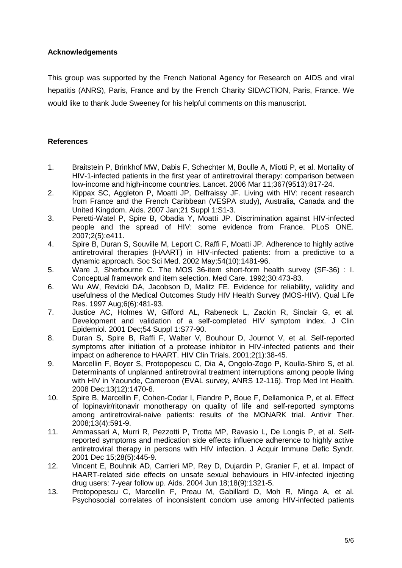## **Acknowledgements**

This group was supported by the French National Agency for Research on AIDS and viral hepatitis (ANRS), Paris, France and by the French Charity SIDACTION, Paris, France. We would like to thank Jude Sweeney for his helpful comments on this manuscript.

## **References**

- 1. Braitstein P, Brinkhof MW, Dabis F, Schechter M, Boulle A, Miotti P, et al. Mortality of HIV-1-infected patients in the first year of antiretroviral therapy: comparison between low-income and high-income countries. Lancet. 2006 Mar 11;367(9513):817-24.
- 2. Kippax SC, Aggleton P, Moatti JP, Delfraissy JF. Living with HIV: recent research from France and the French Caribbean (VESPA study), Australia, Canada and the United Kingdom. Aids. 2007 Jan;21 Suppl 1:S1-3.
- 3. Peretti-Watel P, Spire B, Obadia Y, Moatti JP. Discrimination against HIV-infected people and the spread of HIV: some evidence from France. PLoS ONE. 2007;2(5):e411.
- 4. Spire B, Duran S, Souville M, Leport C, Raffi F, Moatti JP. Adherence to highly active antiretroviral therapies (HAART) in HIV-infected patients: from a predictive to a dynamic approach. Soc Sci Med. 2002 May;54(10):1481-96.
- 5. Ware J, Sherbourne C. The MOS 36-item short-form health survey (SF-36) : I. Conceptual framework and item selection. Med Care. 1992;30:473-83.
- 6. Wu AW, Revicki DA, Jacobson D, Malitz FE. Evidence for reliability, validity and usefulness of the Medical Outcomes Study HIV Health Survey (MOS-HIV). Qual Life Res. 1997 Aug;6(6):481-93.
- 7. Justice AC, Holmes W, Gifford AL, Rabeneck L, Zackin R, Sinclair G, et al. Development and validation of a self-completed HIV symptom index. J Clin Epidemiol. 2001 Dec;54 Suppl 1:S77-90.
- 8. Duran S, Spire B, Raffi F, Walter V, Bouhour D, Journot V, et al. Self-reported symptoms after initiation of a protease inhibitor in HIV-infected patients and their impact on adherence to HAART. HIV Clin Trials. 2001;2(1):38-45.
- 9. Marcellin F, Boyer S, Protopopescu C, Dia A, Ongolo-Zogo P, Koulla-Shiro S, et al. Determinants of unplanned antiretroviral treatment interruptions among people living with HIV in Yaounde, Cameroon (EVAL survey, ANRS 12-116). Trop Med Int Health. 2008 Dec;13(12):1470-8.
- 10. Spire B, Marcellin F, Cohen-Codar I, Flandre P, Boue F, Dellamonica P, et al. Effect of lopinavir/ritonavir monotherapy on quality of life and self-reported symptoms among antiretroviral-naive patients: results of the MONARK trial. Antivir Ther. 2008;13(4):591-9.
- 11. Ammassari A, Murri R, Pezzotti P, Trotta MP, Ravasio L, De Longis P, et al. Selfreported symptoms and medication side effects influence adherence to highly active antiretroviral therapy in persons with HIV infection. J Acquir Immune Defic Syndr. 2001 Dec 15;28(5):445-9.
- 12. Vincent E, Bouhnik AD, Carrieri MP, Rey D, Dujardin P, Granier F, et al. Impact of HAART-related side effects on unsafe sexual behaviours in HIV-infected injecting drug users: 7-year follow up. Aids. 2004 Jun 18;18(9):1321-5.
- 13. Protopopescu C, Marcellin F, Preau M, Gabillard D, Moh R, Minga A, et al. Psychosocial correlates of inconsistent condom use among HIV-infected patients